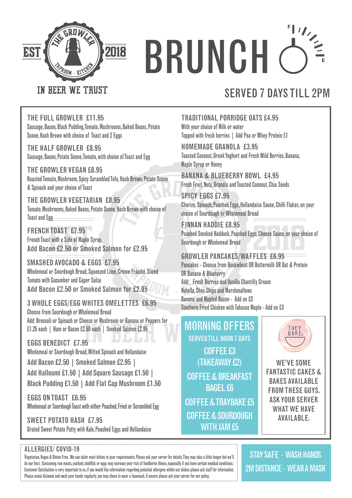

# $\frac{1}{\sqrt{\frac{2}{\pi}}}$ **BRUNCH**

#### IN BEER WE TRUST

### SERVED 7 DAYS TILL 2PM

THE FULL GROWLER £11.95 Sausage, Bacon, Black Pudding, Tomato, Mushrooms, Baked Beans, Potato Scone, Hash Brown with choice of Toast and 2 Eggs

THE HALF GROWLER £8.95 Sausage, Bacon, Potato Scone, Tomato, with choice of Toast and Egg

THE GROWLER VEGAN £8.95 Roasted Tomato, Mushroom, Spicy Scrambled Tofu, Hash Brown, Potato Scone & Spinach and your choice of Toast

THE GROWLER VEGETARIAN £8.95 Tomato, Mushrooms, Baked Beans, Potato Scone, Hash Brown with choice of Toast and Egg

FRENCH TOAST £7.95 French Toast with a Side of Maple Syrup. Add Bacon £2.50 or Smoked Salmon for £2.95

SMASHED AVOCADO & EGGS £7.95 Wholemeal or Sourdough Bread, Squeezed Lime, Crème Fraiché, Sliced Tomato with Cucumber and Caper Salsa Add Bacon £2.50 or Smoked Salmon for £2.95

3 WHOLE EGGS/EGG WHITES OMELETTES £6.95 Choose from Sourdough or Wholemeal Bread Add: Broccoli or Spinach or Cheese or Mushroom or Banana or Peppers for £1.25 each | Ham or Bacon £2.50 each | Smoked Salmon £2.95

EGGS BENEDICT £7.95 Wholemeal or Sourdough Bread, Wilted Spinach and Hollandaise Add Bacon £2.50 | Smoked Salmon £2.95 | Add Halloumi £1.50 | Add Square Sausage £1.50 | Black Pudding £1.50 | Add Flat Cap Mushroom £1.50

EGGS ON TOAST £6.95 Wholemeal or Sourdough Toast with either Poached, Fried or Scrambled Egg

SWEET POTATO HASH £7.95 Grated Sweet Potato Patty with Kale, Poached Eggs and Hollandaise

#### TRADITIONAL PORRIDGE OATS £4.95 With your choice of Milk or water Topped with fresh berries | Add Pea or Whey Protein £1

HOMEMADE GRANOLA £3.95 Toasted Coconut, Greek Yoghurt and Fresh Wild Berries, Banana, Maple Syrup or Honey

BANANA & BLUEBERRY BOWL £4.95 Fresh Fruit, Nuts, Granola and Toasted Coconut, Chia Seeds

SPICY EGGS £7.95 Chorizo, Spinach, Poached Eggs, Hollandaise Sauce, Chilli Flakes, on your choice of Sourdough or Wholemeal Bread

FINNAN HADDIE £8.95 Poached Smoked Haddock, Poached Eggs, Cheese Sauce, on your choice of Sourdough or Wholemeal Bread

#### GROWLER PANCAKES/WAFFLES £6.95

Pancakes - Choose from Buckwheat OR Buttermilk OR Oat & Protein OR Banana & Blueberry Add: Fresh Berries and Vanilla Chantilly Cream Nutella, Choc Chips and Marshmallows Banana and Mapled Bacon - Add on £3 Southern Fried Chicken with Tabasco Maple - Add on £3

### MORNING OFFERS

COFFEE £3 (TAKEAWAY £2) COFFEE & BREAKFAST BAGEL £6 COFFEE & TRAYBAKE £5 COFFEE & SOURDOUGH WITH JAM £5 SERVED TILL NOON 7 DAYS



WE'VE SOME FANTASTIC CAKES & BAKES AVAILABLE FROM THESE GUYS. ASK YOUR SERVER WHAT WF HAVF AVAILABLE.

#### ALLERGIES/ COVID-19

Vegetarian, Vegan & Gluten Free. We can tailor most dishes to your requirements. Please ask your server for details. They may take a little longer but we'll do our best. Consuming raw meats, seafood, shellfish, or eggs may increase your risk of foodborne illness, especially if you have certain medical conditions. Customer Satisfaction is very important to us, if you would like information regarding potential allergens within our dishes please ask staff for information. Please social distance and wash your hands regularly. you may chose to wear a facemask. if unsure please ask your server for our policy.

STAY SAFE - WASH HANDS 2M DISTANCE - WEAR A MASK